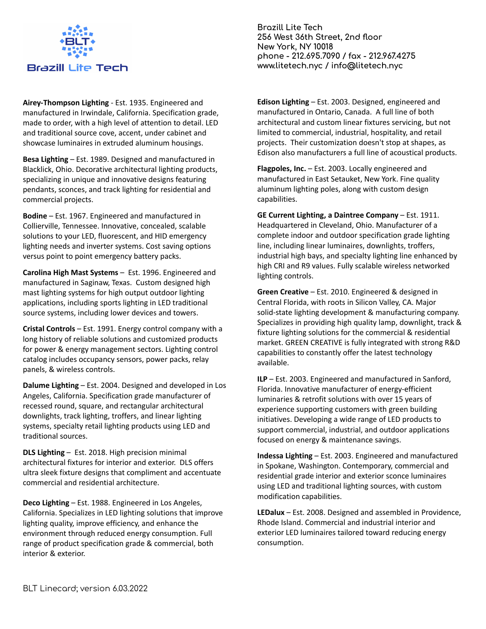

**Airey-Thompson Lighting** - Est. 1935. Engineered and manufactured in Irwindale, California. Specification grade, made to order, with a high level of attention to detail. LED and traditional source cove, accent, under cabinet and showcase luminaires in extruded aluminum housings.

**Besa Lighting** – Est. 1989. Designed and manufactured in Blacklick, Ohio. Decorative architectural lighting products, specializing in unique and innovative designs featuring pendants, sconces, and track lighting for residential and commercial projects.

**Bodine** – Est. 1967. Engineered and manufactured in Collierville, Tennessee. Innovative, concealed, scalable solutions to your LED, fluorescent, and HID emergency lighting needs and inverter systems. Cost saving options versus point to point emergency battery packs.

**Carolina High Mast Systems** – Est. 1996. Engineered and manufactured in Saginaw, Texas. Custom designed high mast lighting systems for high output outdoor lighting applications, including sports lighting in LED traditional source systems, including lower devices and towers.

**Cristal Controls** – Est. 1991. Energy control company with a long history of reliable solutions and customized products for power & energy management sectors. Lighting control catalog includes occupancy sensors, power packs, relay panels, & wireless controls.

**Dalume Lighting** – Est. 2004. Designed and developed in Los Angeles, California. Specification grade manufacturer of recessed round, square, and rectangular architectural downlights, track lighting, troffers, and linear lighting systems, specialty retail lighting products using LED and traditional sources.

**DLS Lighting** – Est. 2018. High precision minimal architectural fixtures for interior and exterior. DLS offers ultra sleek fixture designs that compliment and accentuate commercial and residential architecture.

**Deco Lighting** – Est. 1988. Engineered in Los Angeles, California. Specializes in LED lighting solutions that improve lighting quality, improve efficiency, and enhance the environment through reduced energy consumption. Full range of product specification grade & commercial, both interior & exterior.

**Brazill Lite Tech 256 West 36th Street, 2nd floor New York, NY 10018 phone - 212.695.7090 / fax - 212.967.4275 www.litetech.nyc / info@litetech.nyc**

**Edison Lighting** – Est. 2003. Designed, engineered and manufactured in Ontario, Canada. A full line of both architectural and custom linear fixtures servicing, but not limited to commercial, industrial, hospitality, and retail projects. Their customization doesn't stop at shapes, as Edison also manufacturers a full line of acoustical products.

**Flagpoles, Inc.** – Est. 2003. Locally engineered and manufactured in East Setauket, New York. Fine quality aluminum lighting poles, along with custom design capabilities.

**GE Current Lighting, a Daintree Company** – Est. 1911. Headquartered in Cleveland, Ohio. Manufacturer of a complete indoor and outdoor specification grade lighting line, including linear luminaires, downlights, troffers, industrial high bays, and specialty lighting line enhanced by high CRI and R9 values. Fully scalable wireless networked lighting controls.

**Green Creative** – Est. 2010. Engineered & designed in Central Florida, with roots in Silicon Valley, CA. Major solid-state lighting development & manufacturing company. Specializes in providing high quality lamp, downlight, track & fixture lighting solutions for the commercial & residential market. GREEN CREATIVE is fully integrated with strong R&D capabilities to constantly offer the latest technology available.

**ILP** – Est. 2003. Engineered and manufactured in Sanford, Florida. Innovative manufacturer of energy-efficient luminaries & retrofit solutions with over 15 years of experience supporting customers with green building initiatives. Developing a wide range of LED products to support commercial, industrial, and outdoor applications focused on energy & maintenance savings.

**Indessa Lighting** – Est. 2003. Engineered and manufactured in Spokane, Washington. Contemporary, commercial and residential grade interior and exterior sconce luminaires using LED and traditional lighting sources, with custom modification capabilities.

**LEDalux** – Est. 2008. Designed and assembled in Providence, Rhode Island. Commercial and industrial interior and exterior LED luminaires tailored toward reducing energy consumption.